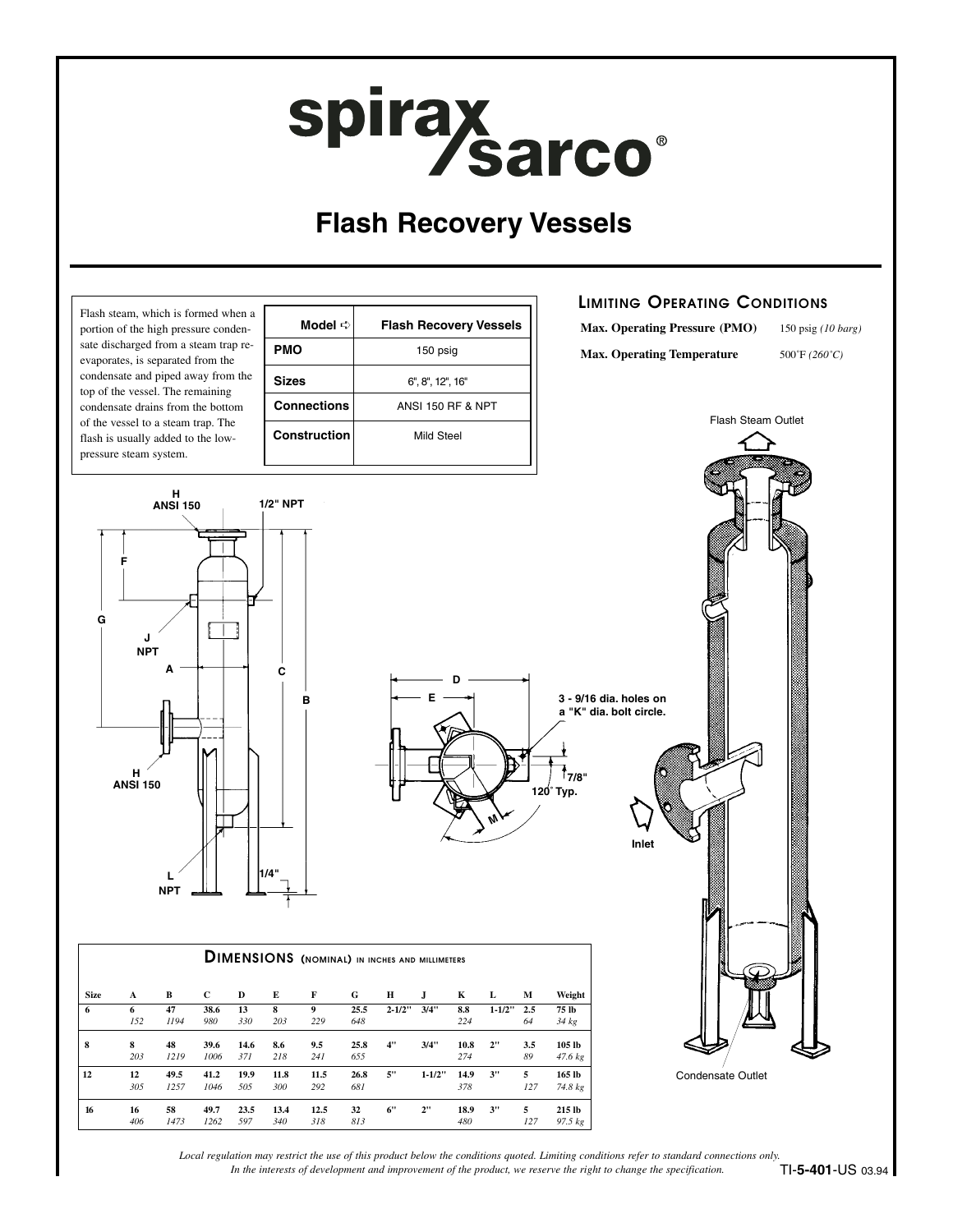

*In the interests of development and improvement of the product, we reserve the right to change the specification. Local regulation may restrict the use of this product below the conditions quoted. Limiting conditions refer to standard connections only.*